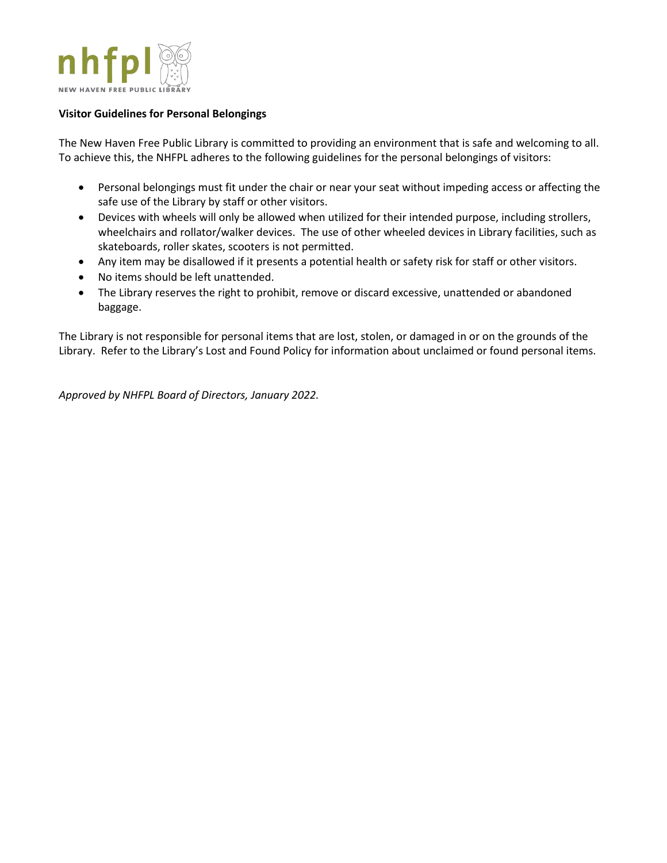

## **Visitor Guidelines for Personal Belongings**

The New Haven Free Public Library is committed to providing an environment that is safe and welcoming to all. To achieve this, the NHFPL adheres to the following guidelines for the personal belongings of visitors:

- Personal belongings must fit under the chair or near your seat without impeding access or affecting the safe use of the Library by staff or other visitors.
- Devices with wheels will only be allowed when utilized for their intended purpose, including strollers, wheelchairs and rollator/walker devices. The use of other wheeled devices in Library facilities, such as skateboards, roller skates, scooters is not permitted.
- Any item may be disallowed if it presents a potential health or safety risk for staff or other visitors.
- No items should be left unattended.
- The Library reserves the right to prohibit, remove or discard excessive, unattended or abandoned baggage.

The Library is not responsible for personal items that are lost, stolen, or damaged in or on the grounds of the Library. Refer to the Library's Lost and Found Policy for information about unclaimed or found personal items.

*Approved by NHFPL Board of Directors, January 2022.*